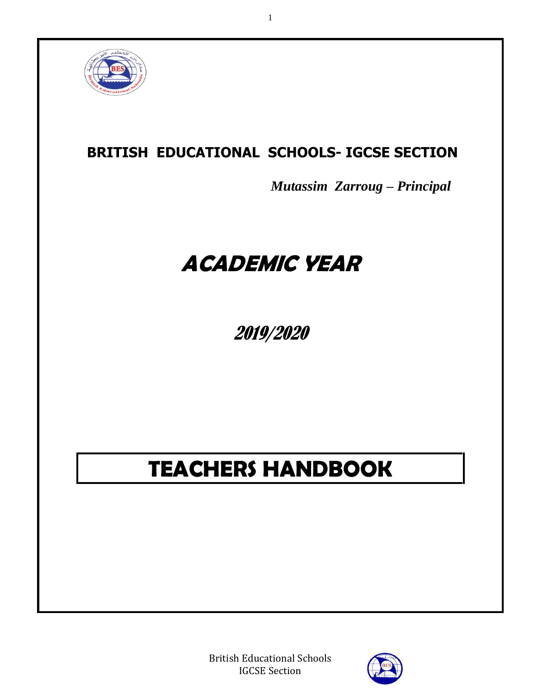

# **BRITISH EDUCATIONAL SCHOOLS- IGCSE SECTION**

1

*Mutassim Zarroug – Principal* 

# **ACADEMIC YEAR**

2019/2020

# **TEACHERS HANDBOOK**

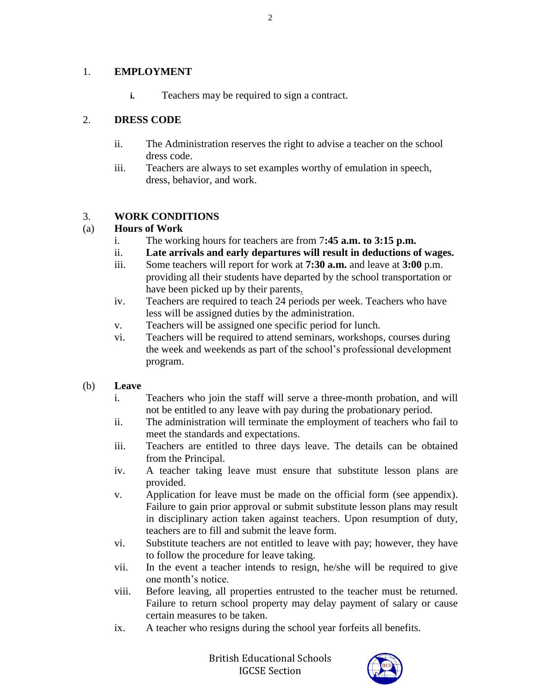#### 1. **EMPLOYMENT**

**i.** Teachers may be required to sign a contract.

### 2. **DRESS CODE**

- ii. The Administration reserves the right to advise a teacher on the school dress code.
- iii. Teachers are always to set examples worthy of emulation in speech, dress, behavior, and work.

### 3. **WORK CONDITIONS**

### (a) **Hours of Work**

- i. The working hours for teachers are from 7**:45 a.m. to 3:15 p.m.**
- ii. **Late arrivals and early departures will result in deductions of wages.**
- iii. Some teachers will report for work at **7:30 a.m.** and leave at **3:00** p.m. providing all their students have departed by the school transportation or have been picked up by their parents.
- iv. Teachers are required to teach 24 periods per week. Teachers who have less will be assigned duties by the administration.
- v. Teachers will be assigned one specific period for lunch.
- vi. Teachers will be required to attend seminars, workshops, courses during the week and weekends as part of the school's professional development program.

#### (b) **Leave**

- i. Teachers who join the staff will serve a three-month probation, and will not be entitled to any leave with pay during the probationary period.
- ii. The administration will terminate the employment of teachers who fail to meet the standards and expectations.
- iii. Teachers are entitled to three days leave. The details can be obtained from the Principal.
- iv. A teacher taking leave must ensure that substitute lesson plans are provided.
- v. Application for leave must be made on the official form (see appendix). Failure to gain prior approval or submit substitute lesson plans may result in disciplinary action taken against teachers. Upon resumption of duty, teachers are to fill and submit the leave form.
- vi. Substitute teachers are not entitled to leave with pay; however, they have to follow the procedure for leave taking.
- vii. In the event a teacher intends to resign, he/she will be required to give one month's notice.
- viii. Before leaving, all properties entrusted to the teacher must be returned. Failure to return school property may delay payment of salary or cause certain measures to be taken.
- ix. A teacher who resigns during the school year forfeits all benefits.

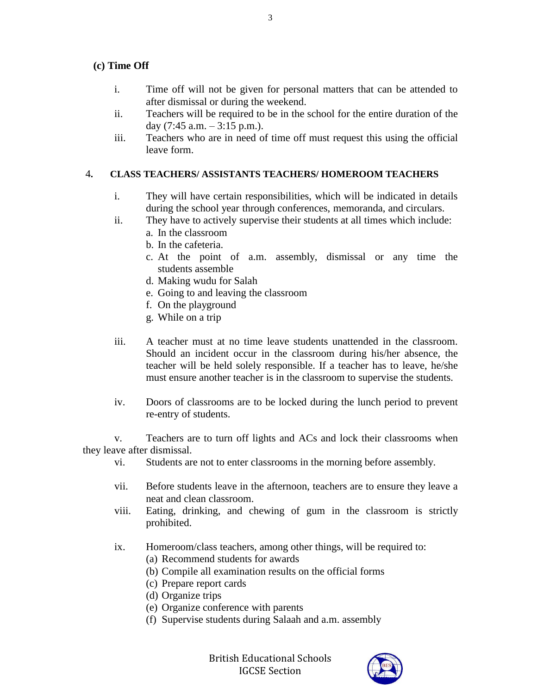#### **(c) Time Off**

- i. Time off will not be given for personal matters that can be attended to after dismissal or during the weekend.
- ii. Teachers will be required to be in the school for the entire duration of the day  $(7:45$  a.m.  $-3:15$  p.m.).
- iii. Teachers who are in need of time off must request this using the official leave form.

#### 4**. CLASS TEACHERS/ ASSISTANTS TEACHERS/ HOMEROOM TEACHERS**

- i. They will have certain responsibilities, which will be indicated in details during the school year through conferences, memoranda, and circulars.
- ii. They have to actively supervise their students at all times which include:
	- a. In the classroom
	- b. In the cafeteria.
	- c. At the point of a.m. assembly, dismissal or any time the students assemble
	- d. Making wudu for Salah
	- e. Going to and leaving the classroom
	- f. On the playground
	- g. While on a trip
- iii. A teacher must at no time leave students unattended in the classroom. Should an incident occur in the classroom during his/her absence, the teacher will be held solely responsible. If a teacher has to leave, he/she must ensure another teacher is in the classroom to supervise the students.
- iv. Doors of classrooms are to be locked during the lunch period to prevent re-entry of students.

v. Teachers are to turn off lights and ACs and lock their classrooms when they leave after dismissal.

- vi. Students are not to enter classrooms in the morning before assembly.
- vii. Before students leave in the afternoon, teachers are to ensure they leave a neat and clean classroom.
- viii. Eating, drinking, and chewing of gum in the classroom is strictly prohibited.
- ix. Homeroom/class teachers, among other things, will be required to:
	- (a) Recommend students for awards
	- (b) Compile all examination results on the official forms
	- (c) Prepare report cards
	- (d) Organize trips
	- (e) Organize conference with parents
	- (f) Supervise students during Salaah and a.m. assembly

3

British Educational Schools IGCSE Section

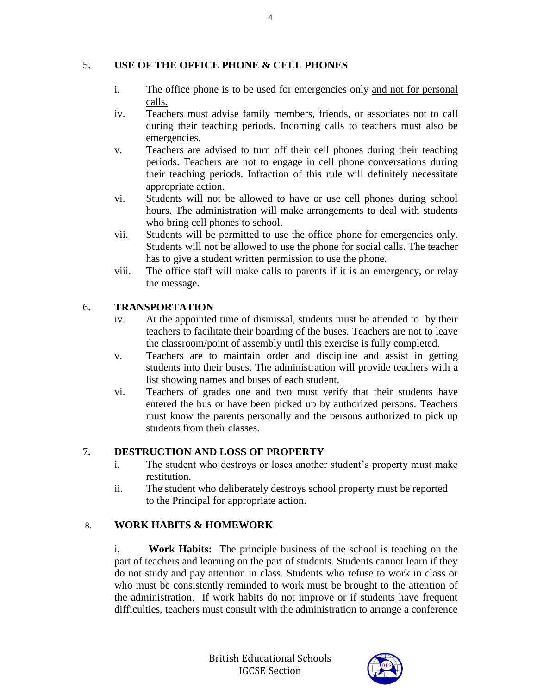#### 5**. USE OF THE OFFICE PHONE & CELL PHONES**

- i. The office phone is to be used for emergencies only and not for personal calls.
- iv. Teachers must advise family members, friends, or associates not to call during their teaching periods. Incoming calls to teachers must also be emergencies.
- v. Teachers are advised to turn off their cell phones during their teaching periods. Teachers are not to engage in cell phone conversations during their teaching periods. Infraction of this rule will definitely necessitate appropriate action.
- vi. Students will not be allowed to have or use cell phones during school hours. The administration will make arrangements to deal with students who bring cell phones to school.
- vii. Students will be permitted to use the office phone for emergencies only. Students will not be allowed to use the phone for social calls. The teacher has to give a student written permission to use the phone.
- viii. The office staff will make calls to parents if it is an emergency, or relay the message.

#### 6**. TRANSPORTATION**

- iv. At the appointed time of dismissal, students must be attended to by their teachers to facilitate their boarding of the buses. Teachers are not to leave the classroom/point of assembly until this exercise is fully completed.
- v. Teachers are to maintain order and discipline and assist in getting students into their buses. The administration will provide teachers with a list showing names and buses of each student.
- vi. Teachers of grades one and two must verify that their students have entered the bus or have been picked up by authorized persons. Teachers must know the parents personally and the persons authorized to pick up students from their classes.

#### 7**. DESTRUCTION AND LOSS OF PROPERTY**

- i. The student who destroys or loses another student's property must make restitution.
- ii. The student who deliberately destroys school property must be reported to the Principal for appropriate action.

# 8. **WORK HABITS & HOMEWORK**

i. **Work Habits:** The principle business of the school is teaching on the part of teachers and learning on the part of students. Students cannot learn if they do not study and pay attention in class. Students who refuse to work in class or who must be consistently reminded to work must be brought to the attention of the administration. If work habits do not improve or if students have frequent difficulties, teachers must consult with the administration to arrange a conference



4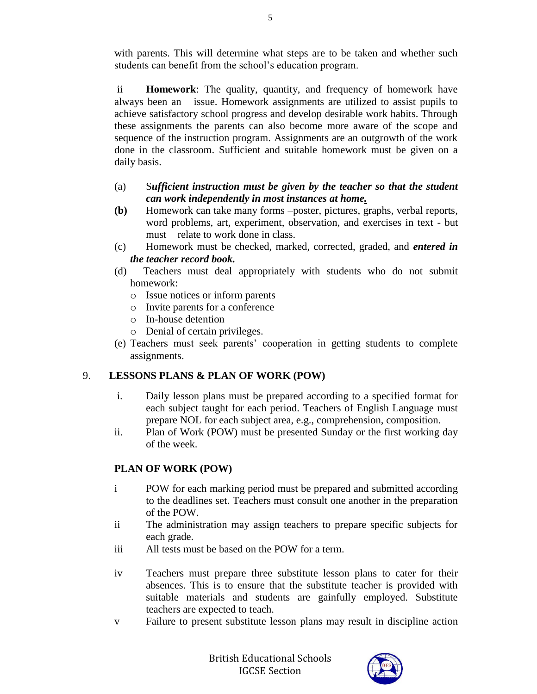with parents. This will determine what steps are to be taken and whether such students can benefit from the school's education program.

ii **Homework**: The quality, quantity, and frequency of homework have always been an issue. Homework assignments are utilized to assist pupils to achieve satisfactory school progress and develop desirable work habits. Through these assignments the parents can also become more aware of the scope and sequence of the instruction program. Assignments are an outgrowth of the work done in the classroom. Sufficient and suitable homework must be given on a daily basis.

#### (a) S*ufficient instruction must be given by the teacher so that the student can work independently in most instances at home.*

- **(b)** Homework can take many forms –poster, pictures, graphs, verbal reports, word problems, art, experiment, observation, and exercises in text - but must relate to work done in class.
- (c) Homework must be checked, marked, corrected, graded, and *entered in the teacher record book.*
- (d) Teachers must deal appropriately with students who do not submit homework:
	- o Issue notices or inform parents
	- o Invite parents for a conference
	- o In-house detention
	- o Denial of certain privileges.
- (e) Teachers must seek parents' cooperation in getting students to complete assignments.

# 9. **LESSONS PLANS & PLAN OF WORK (POW)**

- i. Daily lesson plans must be prepared according to a specified format for each subject taught for each period. Teachers of English Language must prepare NOL for each subject area, e.g., comprehension, composition.
- ii. Plan of Work (POW) must be presented Sunday or the first working day of the week.

# **PLAN OF WORK (POW)**

- i POW for each marking period must be prepared and submitted according to the deadlines set. Teachers must consult one another in the preparation of the POW.
- ii The administration may assign teachers to prepare specific subjects for each grade.
- iii All tests must be based on the POW for a term.
- iv Teachers must prepare three substitute lesson plans to cater for their absences. This is to ensure that the substitute teacher is provided with suitable materials and students are gainfully employed. Substitute teachers are expected to teach.
- v Failure to present substitute lesson plans may result in discipline action

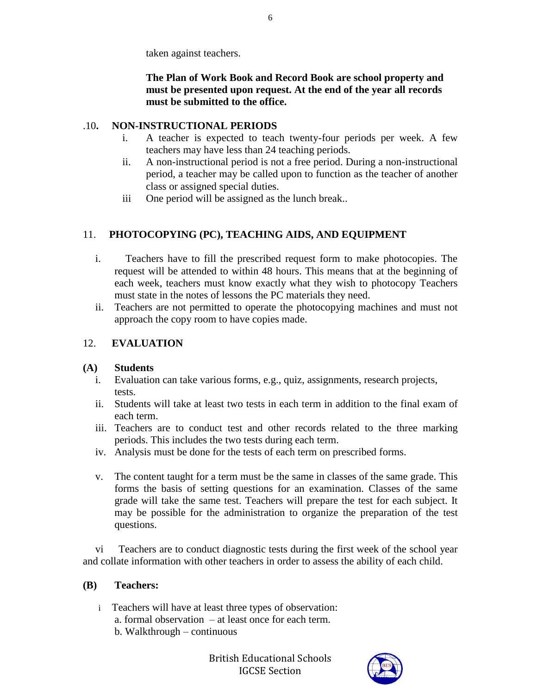taken against teachers.

### **The Plan of Work Book and Record Book are school property and must be presented upon request. At the end of the year all records must be submitted to the office.**

# .10**. NON-INSTRUCTIONAL PERIODS**

- i. A teacher is expected to teach twenty-four periods per week. A few teachers may have less than 24 teaching periods.
- ii. A non-instructional period is not a free period. During a non-instructional period, a teacher may be called upon to function as the teacher of another class or assigned special duties.
- iii One period will be assigned as the lunch break..

# 11. **PHOTOCOPYING (PC), TEACHING AIDS, AND EQUIPMENT**

- i. Teachers have to fill the prescribed request form to make photocopies. The request will be attended to within 48 hours. This means that at the beginning of each week, teachers must know exactly what they wish to photocopy Teachers must state in the notes of lessons the PC materials they need.
- ii. Teachers are not permitted to operate the photocopying machines and must not approach the copy room to have copies made.

# 12. **EVALUATION**

# **(A) Students**

- i. Evaluation can take various forms, e.g., quiz, assignments, research projects, tests.
- ii. Students will take at least two tests in each term in addition to the final exam of each term.
- iii. Teachers are to conduct test and other records related to the three marking periods. This includes the two tests during each term.
- iv. Analysis must be done for the tests of each term on prescribed forms.
- v. The content taught for a term must be the same in classes of the same grade. This forms the basis of setting questions for an examination. Classes of the same grade will take the same test. Teachers will prepare the test for each subject. It may be possible for the administration to organize the preparation of the test questions.

vi Teachers are to conduct diagnostic tests during the first week of the school year and collate information with other teachers in order to assess the ability of each child.

# **(B) Teachers:**

 i Teachers will have at least three types of observation: a. formal observation – at least once for each term. b. Walkthrough – continuous

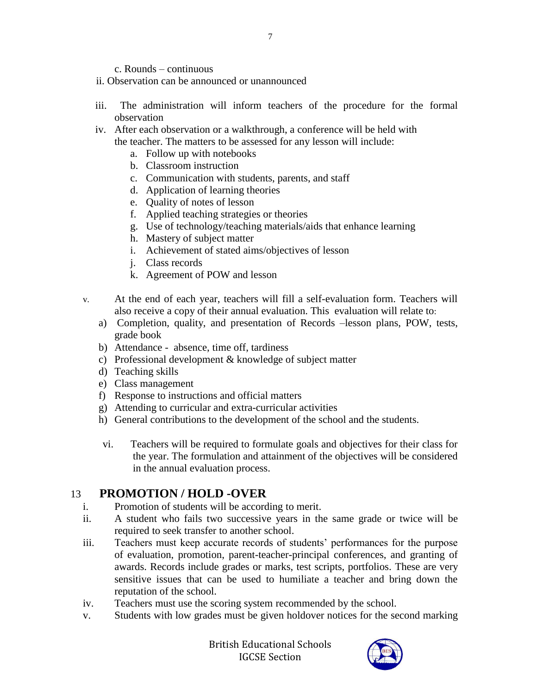- c. Rounds continuous
- ii. Observation can be announced or unannounced
- iii. The administration will inform teachers of the procedure for the formal observation
- iv. After each observation or a walkthrough, a conference will be held with the teacher. The matters to be assessed for any lesson will include:
	- a. Follow up with notebooks
	- b. Classroom instruction
	- c. Communication with students, parents, and staff
	- d. Application of learning theories
	- e. Quality of notes of lesson
	- f. Applied teaching strategies or theories
	- g. Use of technology/teaching materials/aids that enhance learning
	- h. Mastery of subject matter
	- i. Achievement of stated aims/objectives of lesson
	- j. Class records
	- k. Agreement of POW and lesson
- v. At the end of each year, teachers will fill a self-evaluation form. Teachers will also receive a copy of their annual evaluation. This evaluation will relate to:
	- a) Completion, quality, and presentation of Records –lesson plans, POW, tests, grade book
	- b) Attendance absence, time off, tardiness
	- c) Professional development & knowledge of subject matter
	- d) Teaching skills
	- e) Class management
	- f) Response to instructions and official matters
	- g) Attending to curricular and extra-curricular activities
	- h) General contributions to the development of the school and the students.
	- vi. Teachers will be required to formulate goals and objectives for their class for the year. The formulation and attainment of the objectives will be considered in the annual evaluation process.

#### 13 **PROMOTION / HOLD -OVER**

- i. Promotion of students will be according to merit.
- ii. A student who fails two successive years in the same grade or twice will be required to seek transfer to another school.
- iii. Teachers must keep accurate records of students' performances for the purpose of evaluation, promotion, parent-teacher-principal conferences, and granting of awards. Records include grades or marks, test scripts, portfolios. These are very sensitive issues that can be used to humiliate a teacher and bring down the reputation of the school.
- iv. Teachers must use the scoring system recommended by the school.
- v. Students with low grades must be given holdover notices for the second marking

British Educational Schools IGCSE Section

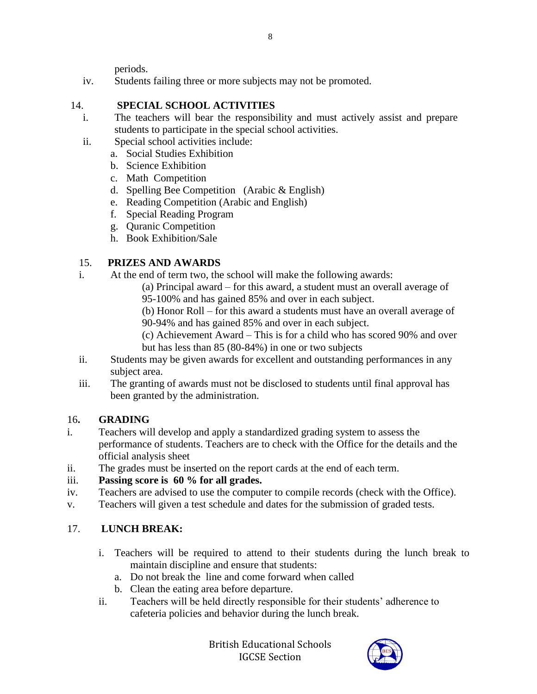periods.

iv. Students failing three or more subjects may not be promoted.

#### 14. **SPECIAL SCHOOL ACTIVITIES**

- i. The teachers will bear the responsibility and must actively assist and prepare students to participate in the special school activities.
- ii. Special school activities include:
	- a. Social Studies Exhibition
		- b. Science Exhibition
		- c. Math Competition
		- d. Spelling Bee Competition (Arabic & English)
		- e. Reading Competition (Arabic and English)
		- f. Special Reading Program
		- g. Quranic Competition
		- h. Book Exhibition/Sale

# 15. **PRIZES AND AWARDS**

- i. At the end of term two, the school will make the following awards:
	- (a) Principal award for this award, a student must an overall average of
		- 95-100% and has gained 85% and over in each subject.
		- (b) Honor Roll for this award a students must have an overall average of 90-94% and has gained 85% and over in each subject.
		- (c) Achievement Award This is for a child who has scored 90% and over but has less than 85 (80-84%) in one or two subjects
- ii. Students may be given awards for excellent and outstanding performances in any subject area.
- iii. The granting of awards must not be disclosed to students until final approval has been granted by the administration.

# 16**. GRADING**

- i. Teachers will develop and apply a standardized grading system to assess the performance of students. Teachers are to check with the Office for the details and the official analysis sheet
- ii. The grades must be inserted on the report cards at the end of each term.

# iii. **Passing score is 60 % for all grades.**

- iv. Teachers are advised to use the computer to compile records (check with the Office).
- v. Teachers will given a test schedule and dates for the submission of graded tests.

# 17. **LUNCH BREAK:**

- i. Teachers will be required to attend to their students during the lunch break to maintain discipline and ensure that students:
	- a. Do not break the line and come forward when called
	- b. Clean the eating area before departure.
- ii. Teachers will be held directly responsible for their students' adherence to cafeteria policies and behavior during the lunch break.

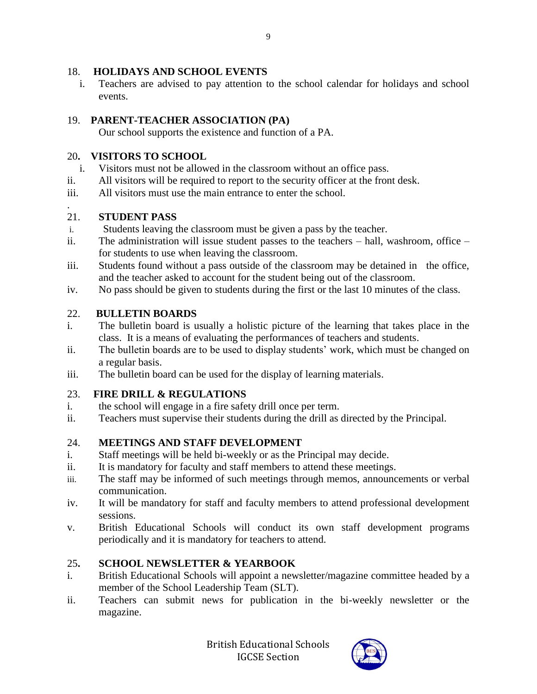### 18. **HOLIDAYS AND SCHOOL EVENTS**

i. Teachers are advised to pay attention to the school calendar for holidays and school events.

# 19. **PARENT-TEACHER ASSOCIATION (PA)**

Our school supports the existence and function of a PA.

### 20**. VISITORS TO SCHOOL**

- i. Visitors must not be allowed in the classroom without an office pass.
- ii. All visitors will be required to report to the security officer at the front desk.
- iii. All visitors must use the main entrance to enter the school.

#### . 21. **STUDENT PASS**

- i. Students leaving the classroom must be given a pass by the teacher.
- ii. The administration will issue student passes to the teachers hall, washroom, office for students to use when leaving the classroom.
- iii. Students found without a pass outside of the classroom may be detained in the office, and the teacher asked to account for the student being out of the classroom.
- iv. No pass should be given to students during the first or the last 10 minutes of the class.

# 22. **BULLETIN BOARDS**

- i. The bulletin board is usually a holistic picture of the learning that takes place in the class. It is a means of evaluating the performances of teachers and students.
- ii. The bulletin boards are to be used to display students' work, which must be changed on a regular basis.
- iii. The bulletin board can be used for the display of learning materials.

# 23. **FIRE DRILL & REGULATIONS**

- i. the school will engage in a fire safety drill once per term.
- ii. Teachers must supervise their students during the drill as directed by the Principal.

# 24. **MEETINGS AND STAFF DEVELOPMENT**

- i. Staff meetings will be held bi-weekly or as the Principal may decide.
- ii. It is mandatory for faculty and staff members to attend these meetings.
- iii. The staff may be informed of such meetings through memos, announcements or verbal communication.
- iv. It will be mandatory for staff and faculty members to attend professional development sessions.
- v. British Educational Schools will conduct its own staff development programs periodically and it is mandatory for teachers to attend.

# 25**. SCHOOL NEWSLETTER & YEARBOOK**

- i. British Educational Schools will appoint a newsletter/magazine committee headed by a member of the School Leadership Team (SLT).
- ii. Teachers can submit news for publication in the bi-weekly newsletter or the magazine.

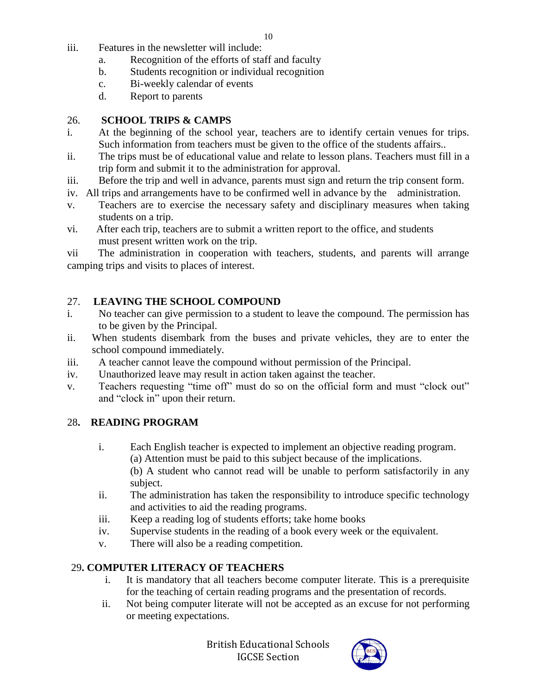- iii. Features in the newsletter will include:
	- a. Recognition of the efforts of staff and faculty
	- b. Students recognition or individual recognition
	- c. Bi-weekly calendar of events
	- d. Report to parents

### 26. **SCHOOL TRIPS & CAMPS**

- i. At the beginning of the school year, teachers are to identify certain venues for trips. Such information from teachers must be given to the office of the students affairs..
- ii. The trips must be of educational value and relate to lesson plans. Teachers must fill in a trip form and submit it to the administration for approval.
- iii. Before the trip and well in advance, parents must sign and return the trip consent form.
- iv. All trips and arrangements have to be confirmed well in advance by the administration.
- v. Teachers are to exercise the necessary safety and disciplinary measures when taking students on a trip.
- vi. After each trip, teachers are to submit a written report to the office, and students must present written work on the trip.

vii The administration in cooperation with teachers, students, and parents will arrange camping trips and visits to places of interest.

# 27. **LEAVING THE SCHOOL COMPOUND**

- i. No teacher can give permission to a student to leave the compound. The permission has to be given by the Principal.
- ii. When students disembark from the buses and private vehicles, they are to enter the school compound immediately.
- iii. A teacher cannot leave the compound without permission of the Principal.
- iv. Unauthorized leave may result in action taken against the teacher.
- v. Teachers requesting "time off" must do so on the official form and must "clock out" and "clock in" upon their return.

# 28**. READING PROGRAM**

- i. Each English teacher is expected to implement an objective reading program. (a) Attention must be paid to this subject because of the implications. (b) A student who cannot read will be unable to perform satisfactorily in any subject.
- ii. The administration has taken the responsibility to introduce specific technology and activities to aid the reading programs.
- iii. Keep a reading log of students efforts; take home books
- iv. Supervise students in the reading of a book every week or the equivalent.
- v. There will also be a reading competition.

# 29**. COMPUTER LITERACY OF TEACHERS**

- i. It is mandatory that all teachers become computer literate. This is a prerequisite for the teaching of certain reading programs and the presentation of records.
- ii. Not being computer literate will not be accepted as an excuse for not performing or meeting expectations.

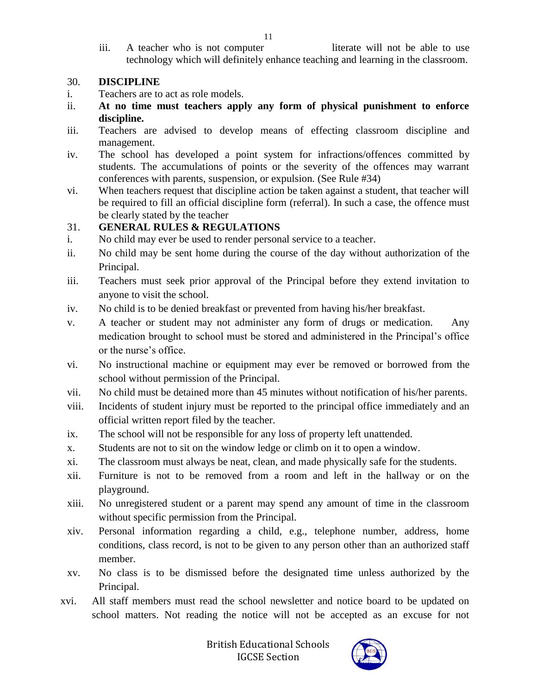iii. A teacher who is not computer **literate will not be able to use** technology which will definitely enhance teaching and learning in the classroom.

#### 30. **DISCIPLINE**

- i. Teachers are to act as role models.
- ii. **At no time must teachers apply any form of physical punishment to enforce discipline.**
- iii. Teachers are advised to develop means of effecting classroom discipline and management.
- iv. The school has developed a point system for infractions/offences committed by students. The accumulations of points or the severity of the offences may warrant conferences with parents, suspension, or expulsion. (See Rule #34)
- vi. When teachers request that discipline action be taken against a student, that teacher will be required to fill an official discipline form (referral). In such a case, the offence must be clearly stated by the teacher

#### 31. **GENERAL RULES & REGULATIONS**

- i. No child may ever be used to render personal service to a teacher.
- ii. No child may be sent home during the course of the day without authorization of the Principal.
- iii. Teachers must seek prior approval of the Principal before they extend invitation to anyone to visit the school.
- iv. No child is to be denied breakfast or prevented from having his/her breakfast.
- v. A teacher or student may not administer any form of drugs or medication. Any medication brought to school must be stored and administered in the Principal's office or the nurse's office.
- vi. No instructional machine or equipment may ever be removed or borrowed from the school without permission of the Principal.
- vii. No child must be detained more than 45 minutes without notification of his/her parents.
- viii. Incidents of student injury must be reported to the principal office immediately and an official written report filed by the teacher.
- ix. The school will not be responsible for any loss of property left unattended.
- x. Students are not to sit on the window ledge or climb on it to open a window.
- xi. The classroom must always be neat, clean, and made physically safe for the students.
- xii. Furniture is not to be removed from a room and left in the hallway or on the playground.
- xiii. No unregistered student or a parent may spend any amount of time in the classroom without specific permission from the Principal.
- xiv. Personal information regarding a child, e.g., telephone number, address, home conditions, class record, is not to be given to any person other than an authorized staff member.
- xv. No class is to be dismissed before the designated time unless authorized by the Principal.
- xvi. All staff members must read the school newsletter and notice board to be updated on school matters. Not reading the notice will not be accepted as an excuse for not



11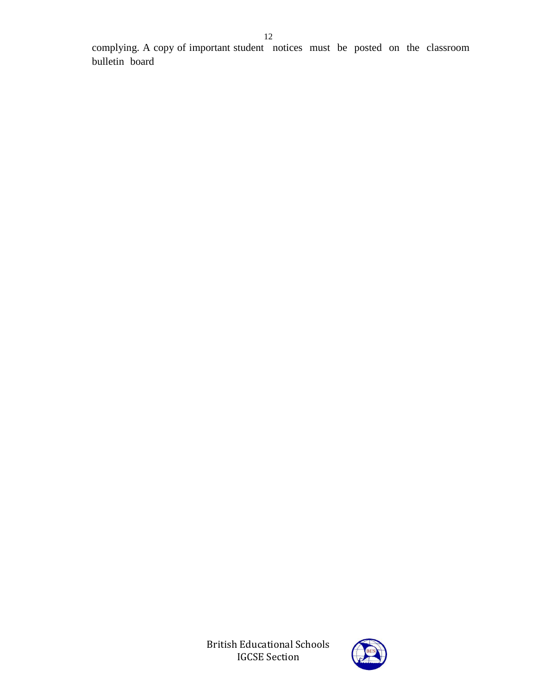complying. A copy of important student notices must be posted on the classroom bulletin board

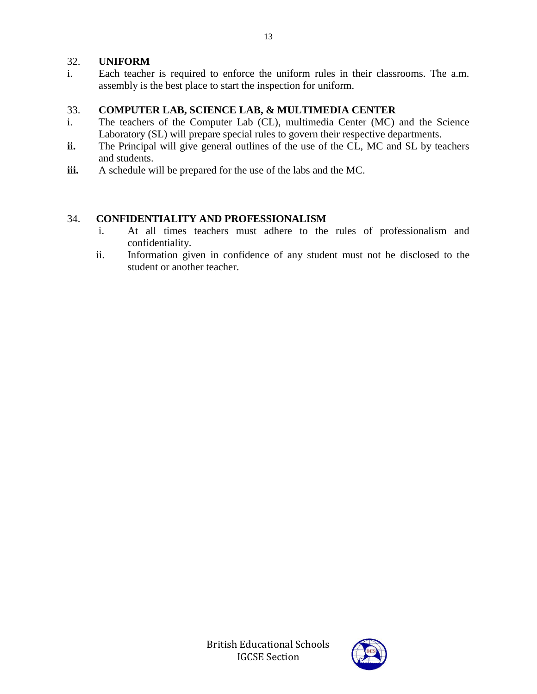#### 32. **UNIFORM**

i. Each teacher is required to enforce the uniform rules in their classrooms. The a.m. assembly is the best place to start the inspection for uniform.

#### 33. **COMPUTER LAB, SCIENCE LAB, & MULTIMEDIA CENTER**

- i. The teachers of the Computer Lab (CL), multimedia Center (MC) and the Science Laboratory (SL) will prepare special rules to govern their respective departments.
- ii. The Principal will give general outlines of the use of the CL, MC and SL by teachers and students.
- **iii.** A schedule will be prepared for the use of the labs and the MC.

#### 34. **CONFIDENTIALITY AND PROFESSIONALISM**

- i. At all times teachers must adhere to the rules of professionalism and confidentiality.
- ii. Information given in confidence of any student must not be disclosed to the student or another teacher.

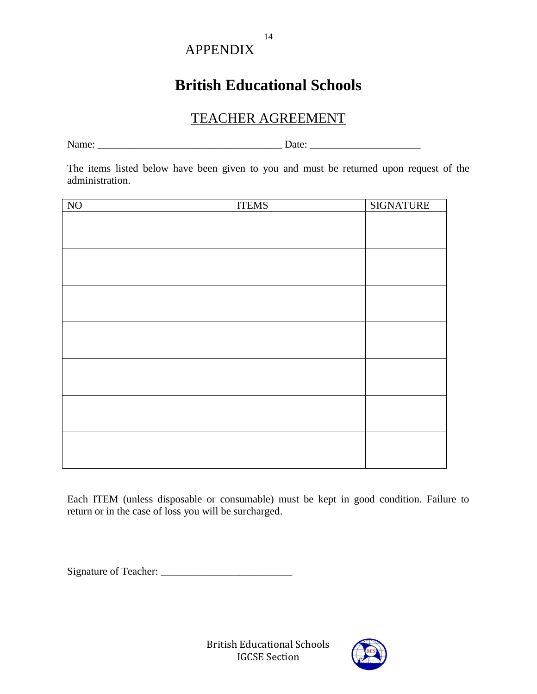# APPENDIX

# **British Educational Schools**

14

# TEACHER AGREEMENT

Name: \_\_\_\_\_\_\_\_\_\_\_\_\_\_\_\_\_\_\_\_\_\_\_\_\_\_\_\_\_\_\_\_\_\_\_ Date: \_\_\_\_\_\_\_\_\_\_\_\_\_\_\_\_\_\_\_\_\_

The items listed below have been given to you and must be returned upon request of the administration.

| N <sub>O</sub> | <b>ITEMS</b> | <b>SIGNATURE</b> |
|----------------|--------------|------------------|
|                |              |                  |
|                |              |                  |
|                |              |                  |
|                |              |                  |
|                |              |                  |
|                |              |                  |
|                |              |                  |
|                |              |                  |
|                |              |                  |
|                |              |                  |
|                |              |                  |
|                |              |                  |
|                |              |                  |
|                |              |                  |
|                |              |                  |
|                |              |                  |
|                |              |                  |
|                |              |                  |
|                |              |                  |
|                |              |                  |

Each ITEM (unless disposable or consumable) must be kept in good condition. Failure to return or in the case of loss you will be surcharged.

Signature of Teacher: \_\_\_\_\_\_\_\_\_\_\_\_\_\_\_\_\_\_\_\_\_\_\_\_\_